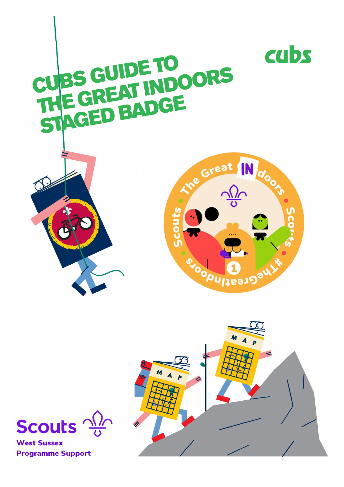





**West Sussex Programme Support**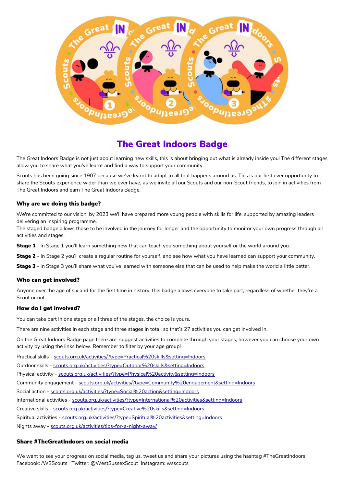

## The Great Indoors Badge

The Great Indoors Badge is not just about learning new skills, this is about bringing out what is already inside you! The different stages allow you to share what you've learnt and find a way to support your community.

Scouts has been going since 1907 because we've learnt to adapt to all that happens around us. This is our first ever opportunity to share the Scouts experience wider than we ever have, as we invite all our Scouts and our non-Scout friends, to join in activities from The Great Indoors and earn The Great Indoors Badge.

#### Why are we doing this badge?

We're committed to our vision, by 2023 we'll have prepared more young people with skills for life, supported by amazing leaders delivering an inspiring programme.

The staged badge allows those to be involved in the journey for longer and the opportunity to monitor your own progress through all activities and stages.

Stage 1 - In Stage 1 you'll learn something new that can teach you something about yourself or the world around you.

Stage 2 - In Stage 2 you'll create a regular routine for yourself, and see how what you have learned can support your community.

Stage 3 - In Stage 3 you'll share what you've learned with someone else that can be used to help make the world a little better.

#### Who can get involved?

Anyone over the age of six and for the first time in history, this badge allows everyone to take part, regardless of whether they're a Scout or not.

#### How do I get involved?

You can take part in one stage or all three of the stages, the choice is yours.

There are nine activities in each stage and three stages in total, so that's 27 activities you can get involved in.

On the Great Indoors Badge page there are suggest activities to complete through your stages, however you can choose your own activity by using the links below. Remember to filter by your age group!

Practical skills - [scouts.org.uk/activities/?type=Practical%20skills&setting=Indoors](https://www.scouts.org.uk/activities/?type=Practical%20skills&setting=Indoors)

Outdoor skills - [scouts.org.uk/activities/?type=Outdoor%20skills&setting=Indoors](https://www.scouts.org.uk/activities/?type=Outdoor%20skills&setting=Indoors)

Physical activity - [scouts.org.uk/activities/?type=Physical%20activity&setting=Indoors](https://www.scouts.org.uk/activities/?type=Physical%20activity&setting=Indoors)

Community engagement - [scouts.org.uk/activities/?type=Community%20engagement&setting=Indoors](https://www.scouts.org.uk/activities/?type=Community%20engagement&setting=Indoors)

Social action - [scouts.org.uk/activities/?type=Social%20action&setting=Indoors](https://www.scouts.org.uk/activities/?type=Social%20action&setting=Indoors)

International activities - [scouts.org.uk/activities/?type=International%20activities&setting=Indoors](https://www.scouts.org.uk/activities/?type=International%20activities&setting=Indoors) 

Creative skills - [scouts.org.uk/activities/?type=Creative%20skills&setting=Indoors](https://www.scouts.org.uk/activities/?type=Creative%20skills&setting=Indoors)

Spiritual activities - [scouts.org.uk/activities/?type=Spiritual%20activities&setting=Indoors](https://www.scouts.org.uk/activities/?type=Spiritual%20activities&setting=Indoors)

Nights away - [scouts.org.uk/activities/tips-for-a-night-away/](https://www.scouts.org.uk/activities/tips-for-a-night-away/)

#### Share #TheGreatIndoors on social media

We want to see your progress on social media, tag us, tweet us and share your pictures using the hashtag #TheGreatIndoors. Facebook: /WSScouts Twitter: @WestSussexScout Instagram: wsscouts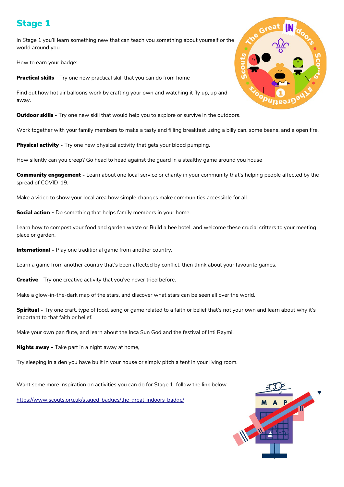# Stage 1

In Stage 1 you'll learn something new that can teach you something about yourself or the world around you.

How to earn your badge:

**Practical skills** - Try one new practical skill that you can do from home

Find out how hot air balloons work by crafting your own and watching it fly up, up and away.

**Outdoor skills** - Try one new skill that would help you to explore or survive in the outdoors.

Work together with your family members to make a tasty and filling breakfast using a billy can, some beans, and a open fire.

**Physical activity -** Try one new physical activity that gets your blood pumping.

How silently can you creep? Go head to head against the guard in a stealthy game around you house

**Community engagement -** Learn about one local service or charity in your community that's helping people affected by the spread of COVID-19.

Make a video to show your local area how simple changes make communities accessible for all.

**Social action -** Do something that helps family members in your home.

Learn how to compost your food and garden waste or Build a bee hotel, and welcome these crucial critters to your meeting place or garden.

**International -** Play one traditional game from another country.

Learn a game from another country that's been affected by conflict, then think about your favourite games.

**Creative** - Try one creative activity that you've never tried before.

Make a glow-in-the-dark map of the stars, and discover what stars can be seen all over the world.

Spiritual - Try one craft, type of food, song or game related to a faith or belief that's not your own and learn about why it's important to that faith or belief.

Make your own pan flute, and learn about the Inca Sun God and the festival of Inti Raymi.

**Nights away -** Take part in a night away at home.

Try sleeping in a den you have built in your house or simply pitch a tent in your living room.

Want some more inspiration on activities you can do for Stage 1 follow the link below

<https://www.scouts.org.uk/staged-badges/the-great-indoors-badge/>



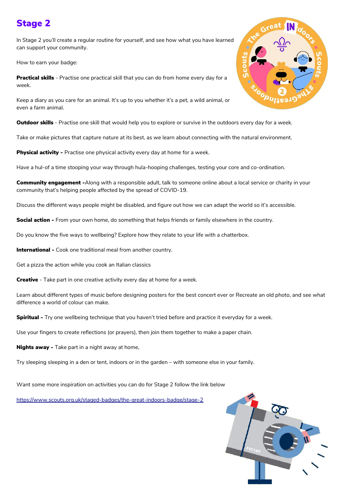# Stage 2

In Stage 2 you'll create a regular routine for yourself, and see how what you have learned can support your community.

How to earn your badge:

**Practical skills** - Practise one practical skill that you can do from home every day for a week.

Keep a diary as you care for an animal. It's up to you whether it's a pet, a wild animal, or even a farm animal.

Outdoor skills - Practise one skill that would help you to explore or survive in the outdoors every day for a week.

Take or make pictures that capture nature at its best, as we learn about connecting with the natural environment.

**Physical activity -** Practise one physical activity every day at home for a week.

Have a hul-of a time stooping your way through hula-hooping challenges, testing your core and co-ordination.

Community engagement -Along with a responsible adult, talk to someone online about a local service or charity in your community that's helping people affected by the spread of COVID-19.

Discuss the different ways people might be disabled, and figure out how we can adapt the world so it's accessible.

Social action - From your own home, do something that helps friends or family elsewhere in the country.

Do you know the five ways to wellbeing? Explore how they relate to your life with a chatterbox.

International - Cook one traditional meal from another country.

Get a pizza the action while you cook an Italian classics

**Creative** - Take part in one creative activity every day at home for a week.

Learn about different types of music before designing posters for the best concert ever or Recreate an old photo, and see what difference a world of colour can make.

Spiritual - Try one wellbeing technique that you haven't tried before and practice it everyday for a week.

Use your fingers to create reflections (or prayers), then join them together to make a paper chain.

**Nights away -** Take part in a night away at home.

Try sleeping sleeping in a den or tent, indoors or in the garden – with someone else in your family.

Want some more inspiration on activities you can do for Stage 2 follow the link below

<https://www.scouts.org.uk/staged-badges/the-great-indoors-badge/stage-2>



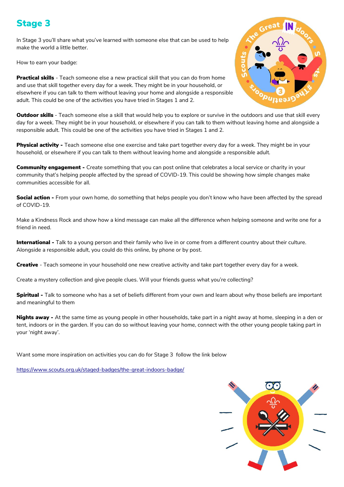# Stage 3

In Stage 3 you'll share what you've learned with someone else that can be used to help make the world a little better.

How to earn your badge:

**Practical skills** - Teach someone else a new practical skill that you can do from home and use that skill together every day for a week. They might be in your household, or elsewhere if you can talk to them without leaving your home and alongside a responsible adult. This could be one of the activities you have tried in Stages 1 and 2.



Outdoor skills - Teach someone else a skill that would help you to explore or survive in the outdoors and use that skill every day for a week. They might be in your household, or elsewhere if you can talk to them without leaving home and alongside a responsible adult. This could be one of the activities you have tried in Stages 1 and 2.

Physical activity - Teach someone else one exercise and take part together every day for a week. They might be in your household, or elsewhere if you can talk to them without leaving home and alongside a responsible adult.

Community engagement - Create something that you can post online that celebrates a local service or charity in your community that's helping people affected by the spread of COVID-19. This could be showing how simple changes make communities accessible for all.

**Social action -** From your own home, do something that helps people you don't know who have been affected by the spread of COVID-19.

Make a Kindness Rock and show how a kind message can make all the difference when helping someone and write one for a friend in need.

International - Talk to a young person and their family who live in or come from a different country about their culture. Alongside a responsible adult, you could do this online, by phone or by post.

Creative - Teach someone in your household one new creative activity and take part together every day for a week.

Create a mystery collection and give people clues. Will your friends guess what you're collecting?

Spiritual - Talk to someone who has a set of beliefs different from your own and learn about why those beliefs are important and meaningful to them

**Nights away -** At the same time as young people in other households, take part in a night away at home, sleeping in a den or tent, indoors or in the garden. If you can do so without leaving your home, connect with the other young people taking part in your 'night away'.

Want some more inspiration on activities you can do for Stage 3 follow the link below

<https://www.scouts.org.uk/staged-badges/the-great-indoors-badge/>

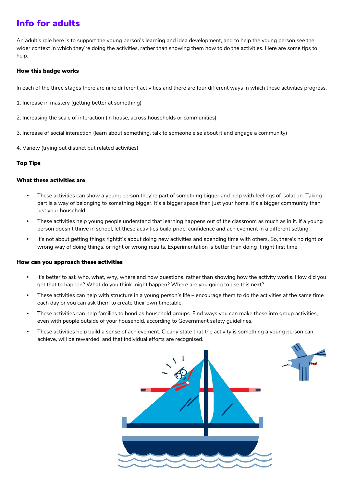# Info for adults

An adult's role here is to support the young person's learning and idea development, and to help the young person see the wider context in which they're doing the activities, rather than showing them how to do the activities. Here are some tips to help.

### How this badge works

In each of the three stages there are nine different activities and there are four different ways in which these activities progress.

- 1. Increase in mastery (getting better at something)
- 2. Increasing the scale of interaction (in house, across households or communities)
- 3. Increase of social interaction (learn about something, talk to someone else about it and engage a community)
- 4. Variety (trying out distinct but related activities)

### Top Tips

### What these activities are

- These activities can show a young person they're part of something bigger and help with feelings of isolation. Taking part is a way of belonging to something bigger. It's a bigger space than just your home, it's a bigger community than just your household.
- These activities help young people understand that learning happens out of the classroom as much as in it. If a young person doesn't thrive in school, let these activities build pride, confidence and achievement in a different setting.
- It's not about getting things right;it's about doing new activities and spending time with others. So, there's no right or wrong way of doing things, or right or wrong results. Experimentation is better than doing it right first time

### How can you approach these activities

- It's better to ask who, what, why, where and how questions, rather than showing how the activity works. How did you get that to happen? What do you think might happen? Where are you going to use this next?
- These activities can help with structure in a young person's life encourage them to do the activities at the same time each day or you can ask them to create their own timetable.
- These activities can help families to bond as household groups. Find ways you can make these into group activities, even with people outside of your household, according to Government safety guidelines.
- These activities help build a sense of achievement. Clearly state that the activity is something a young person can achieve, will be rewarded, and that individual efforts are recognised.